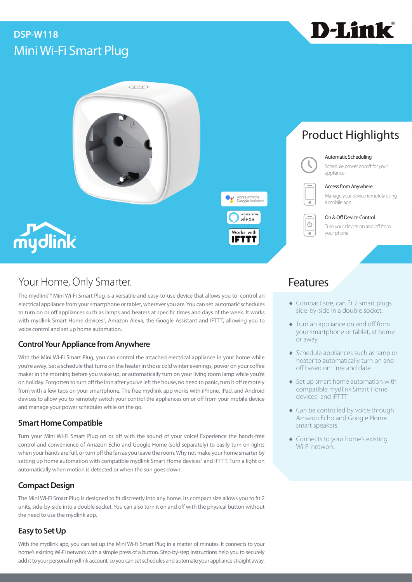## Mini Wi-Fi Smart Plug **DSP-W118**







## Your Home, Only Smarter. The Contract of the Contract of Teatures

The mydlink™ Mini Wi-Fi Smart Plug is a versatile and easy-to-use device that allows you to control an electrical appliance from your smartphone or tablet, wherever you are. You can set automatic schedules to turn on or off appliances such as lamps and heaters at specific times and days of the week. It works with mydlink Smart Home devices<sup>1</sup>, Amazon Alexa, the Google Assistant and IFTTT, allowing you to voice control and set up home automation.

## **Control Your Appliance from Anywhere**

With the Mini Wi-Fi Smart Plug, you can control the attached electrical appliance in your home while you're away. Set a schedule that turns on the heater in those cold winter evenings, power on your coffee maker in the morning before you wake up, or automatically turn on your living room lamp while you're on holiday. Forgotten to turn off the iron after you've left the house, no need to panic, turn it off remotely from with a few taps on your smartphone. The free mydlink app works with iPhone, iPad, and Android devices to allow you to remotely switch your control the appliances on or off from your mobile device and manage your power schedules while on the go.

### **Smart Home Compatible**

Turn your Mini Wi-Fi Smart Plug on or off with the sound of your voice! Experience the hands-free control and convenience of Amazon Echo and Google Home (sold separately) to easily turn on lights when your hands are full, or turn off the fan as you leave the room. Why not make your home smarter by setting up home automation with compatible mydlink Smart Home devices<sup>1</sup> and IFTTT. Turn a light on automatically when motion is detected or when the sun goes down.

## **Compact Design**

The Mini Wi-Fi Smart Plug is designed to fit discreetly into any home. Its compact size allows you to fit 2 units, side-by-side into a double socket. You can also turn it on and off with the physical button without the need to use the mydlink app.

## **Easy to Set Up**

With the mydlink app, you can set up the Mini Wi-Fi Smart Plug in a matter of minutes. It connects to your home's existing Wi-Fi network with a simple press of a button. Step-by-step instructions help you to securely add it to your personal mydlink account, so you can set schedules and automate your appliance straight away.

# Product Highlights

### Automatic Scheduling

Schedule power on/off for your appliance



works with the

**IFTTT** 

WORKS WITH alexa Works with

Access from Anywhere

Manage your device remotely using a mobile app

On & Off Device Control Turn your device on and off from your phone

- ♦ Compact size, can fit 2 smart plugs side-by-side in a double socket.
- ♦ Turn an appliance on and off from your smartphone or tablet, at home or away
- ♦ Schedule appliances such as lamp or heater to automatically turn on and off based on time and date
- ♦ Set up smart home automation with compatible mydlink Smart Home devices<sup>1</sup> and IFTTT
- ♦ Can be controlled by voice through Amazon Echo and Google Home smart speakers
- ♦ Connects to your home's existing Wi-Fi network